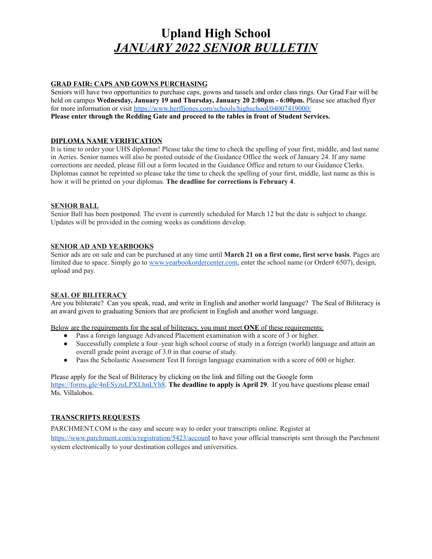# **Upland High School** *JANUARY 2022 SENIOR BULLETIN*

#### **GRAD FAIR: CAPS AND GOWNS PURCHASING**

Seniors will have two opportunities to purchase caps, gowns and tassels and order class rings. Our Grad Fair will be held on campus **Wednesday, January 19 and Thursday, January 20 2:00pm - 6:00pm.** Please see attached flyer for more information or visit <https://www.herffjones.com/schools/highschool/04007419000/> **Please enter through the Redding Gate and proceed to the tables in front of Student Services.**

## **DIPLOMA NAME VERIFICATION**

It is time to order your UHS diplomas! Please take the time to check the spelling of your first, middle, and last name in Aeries. Senior names will also be posted outside of the Guidance Office the week of January 24. If any name corrections are needed, please fill out a form located in the Guidance Office and return to our Guidance Clerks. Diplomas cannot be reprinted so please take the time to check the spelling of your first, middle, last name as this is how it will be printed on your diplomas. **The deadline for corrections is February 4**.

#### **SENIOR BALL**

Senior Ball has been postponed. The event is currently scheduled for March 12 but the date is subject to change. Updates will be provided in the coming weeks as conditions develop.

## **SENIOR AD AND YEARBOOKS**

Senior ads are on sale and can be purchased at any time until **March 21 on a first come, first serve basis**. Pages are limited due to space. Simply go to [www.yearbookordercenter.com,](http://www.yearbookordercenter.com/) enter the school name (or Order# 6507), design, upload and pay.

#### **SEAL OF BILITERACY**

Are you biliterate? Can you speak, read, and write in English and another world language? The Seal of Biliteracy is an award given to graduating Seniors that are proficient in English and another word language.

Below are the requirements for the seal of biliteracy, you must meet **ONE** of these requirements:

- Pass a foreign language Advanced Placement examination with a score of 3 or higher.
- Successfully complete a four–year high school course of study in a foreign (world) language and attain an overall grade point average of 3.0 in that course of study.
- Pass the Scholastic Assessment Test II foreign language examination with a score of 600 or higher.

Please apply for the Seal of Biliteracy by clicking on the link and filling out the Google form <https://forms.gle/4nESyzuLPXLhnLYh8>. **The deadline to apply is April 29**. If you have questions please email Ms. Villalobos.

## **TRANSCRIPTS REQUESTS**

PARCHMENT.COM is the easy and secure way to order your transcripts online. Register at [https://www.parchment.com/u/registration/5423/accoun](https://www.parchment.com/u/registration/5423/account)t to have your official transcripts sent through the Parchment system electronically to your destination colleges and universities.